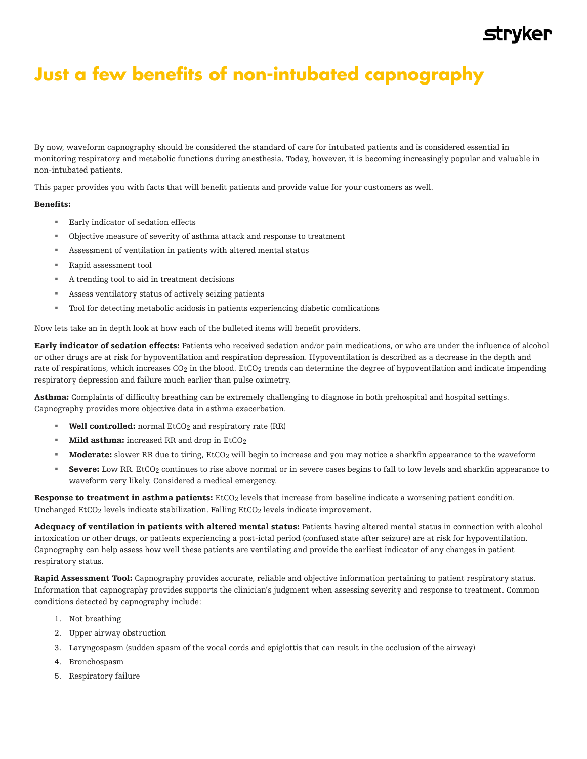## **Just a few benefits of non-intubated capnography**

By now, waveform capnography should be considered the standard of care for intubated patients and is considered essential in monitoring respiratory and metabolic functions during anesthesia. Today, however, it is becoming increasingly popular and valuable in non-intubated patients.

This paper provides you with facts that will benefit patients and provide value for your customers as well.

## Benefits:

- Early indicator of sedation effects
- Objective measure of severity of asthma attack and response to treatment
- Assessment of ventilation in patients with altered mental status
- Rapid assessment tool
- A trending tool to aid in treatment decisions
- Assess ventilatory status of actively seizing patients
- Tool for detecting metabolic acidosis in patients experiencing diabetic comlications

Now lets take an in depth look at how each of the bulleted items will benefit providers.

Early indicator of sedation effects: Patients who received sedation and/or pain medications, or who are under the influence of alcohol or other drugs are at risk for hypoventilation and respiration depression. Hypoventilation is described as a decrease in the depth and rate of respirations, which increases CO<sub>2</sub> in the blood. EtCO<sub>2</sub> trends can determine the degree of hypoventilation and indicate impending respiratory depression and failure much earlier than pulse oximetry.

Asthma: Complaints of difficulty breathing can be extremely challenging to diagnose in both prehospital and hospital settings. Capnography provides more objective data in asthma exacerbation.

- **Well controlled:** normal EtCO<sub>2</sub> and respiratory rate (RR)
- **Mild asthma:** increased RR and drop in  $EtCO<sub>2</sub>$
- Moderate: slower RR due to tiring, EtCO<sub>2</sub> will begin to increase and you may notice a sharkfin appearance to the waveform
- Severe: Low RR. EtCO<sub>2</sub> continues to rise above normal or in severe cases begins to fall to low levels and sharkfin appearance to waveform very likely. Considered a medical emergency.

Response to treatment in asthma patients: EtCO<sub>2</sub> levels that increase from baseline indicate a worsening patient condition. Unchanged EtCO<sub>2</sub> levels indicate stabilization. Falling EtCO<sub>2</sub> levels indicate improvement.

Adequacy of ventilation in patients with altered mental status: Patients having altered mental status in connection with alcohol intoxication or other drugs, or patients experiencing a post-ictal period (confused state after seizure) are at risk for hypoventilation. Capnography can help assess how well these patients are ventilating and provide the earliest indicator of any changes in patient respiratory status.

Rapid Assessment Tool: Capnography provides accurate, reliable and objective information pertaining to patient respiratory status. Information that capnography provides supports the clinician's judgment when assessing severity and response to treatment. Common conditions detected by capnography include:

- 1. Not breathing
- 2. Upper airway obstruction
- 3. Laryngospasm (sudden spasm of the vocal cords and epiglottis that can result in the occlusion of the airway)
- 4. Bronchospasm
- 5. Respiratory failure